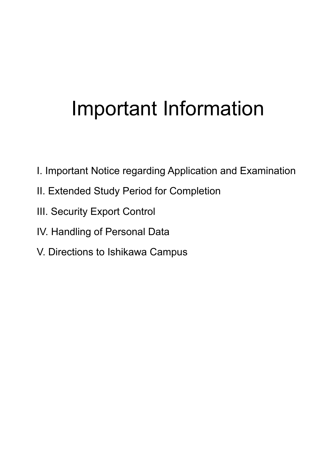# Important Information

- I. Important Notice regarding Application and Examination
- II. Extended Study Period for Completion
- III. Security Export Control
- IV. Handling of Personal Data
- V. Directions to Ishikawa Campus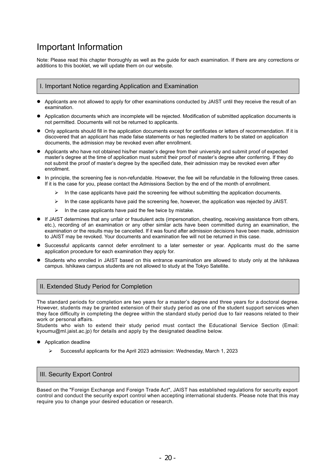## Important Information

Note: Please read this chapter thoroughly as well as the guide for each examination. If there are any corrections or additions to this booklet, we will update them on our website.

#### I. Important Notice regarding Application and Examination

- Applicants are not allowed to apply for other examinations conducted by JAIST until they receive the result of an examination.
- Application documents which are incomplete will be rejected. Modification of submitted application documents is not permitted. Documents will not be returned to applicants.
- Only applicants should fill in the application documents except for certificates or letters of recommendation. If it is discovered that an applicant has made false statements or has neglected matters to be stated on application documents, the admission may be revoked even after enrollment.
- Applicants who have not obtained his/her master's degree from their university and submit proof of expected master's degree at the time of application must submit their proof of master's degree after conferring. If they do not submit the proof of master's degree by the specified date, their admission may be revoked even after enrollment.
- In principle, the screening fee is non-refundable. However, the fee will be refundable in the following three cases. If it is the case for you, please contact the Admissions Section by the end of the month of enrollment.
	- $\triangleright$  In the case applicants have paid the screening fee without submitting the application documents.
	- $\triangleright$  In the case applicants have paid the screening fee, however, the application was rejected by JAIST.
	- $\triangleright$  In the case applicants have paid the fee twice by mistake.
- If JAIST determines that any unfair or fraudulent acts (impersonation, cheating, receiving assistance from others, etc.), recording of an examination or any other similar acts have been committed during an examination, the examination or the results may be cancelled. If it was found after admission decisions have been made, admission to JAIST may be revoked. Your documents and examination fee will not be returned in this case.
- Successful applicants cannot defer enrollment to a later semester or year. Applicants must do the same application procedure for each examination they apply for.
- Students who enrolled in JAIST based on this entrance examination are allowed to study only at the Ishikawa campus. Ishikawa campus students are not allowed to study at the Tokyo Satellite.

#### II. Extended Study Period for Completion

The standard periods for completion are two years for a master's degree and three years for a doctoral degree. However, students may be granted extension of their study period as one of the student support services when they face difficulty in completing the degree within the standard study period due to fair reasons related to their work or personal affairs.

Students who wish to extend their study period must contact the Educational Service Section (Email: kyoumu@ml.jaist.ac.jp) for details and apply by the designated deadline below.

- Application deadline
	- $\triangleright$  Successful applicants for the April 2023 admission: Wednesday, March 1, 2023

#### III. Security Export Control

Based on the "Foreign Exchange and Foreign Trade Act", JAIST has established regulations for security export control and conduct the security export control when accepting international students. Please note that this may require you to change your desired education or research.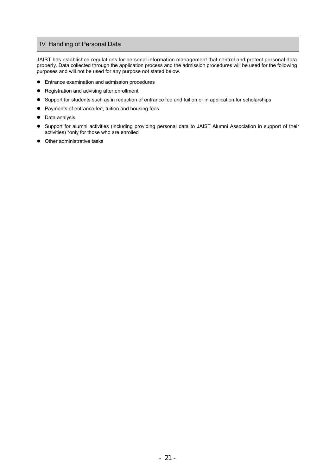### IV. Handling of Personal Data

JAIST has established regulations for personal information management that control and protect personal data properly. Data collected through the application process and the admission procedures will be used for the following purposes and will not be used for any purpose not stated below.

- Entrance examination and admission procedures
- Registration and advising after enrollment
- Support for students such as in reduction of entrance fee and tuition or in application for scholarships
- Payments of entrance fee, tuition and housing fees
- Data analysis
- Support for alumni activities (including providing personal data to JAIST Alumni Association in support of their activities) \*only for those who are enrolled
- Other administrative tasks